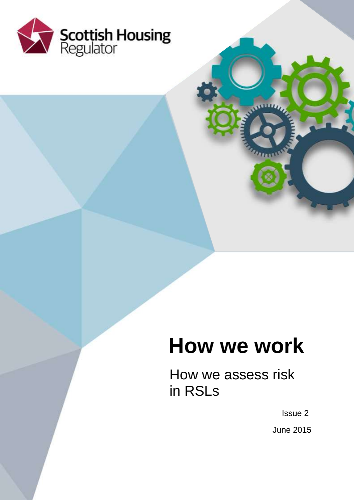

# **How we work**

How we assess risk in RSLs

Issue 2

June 2015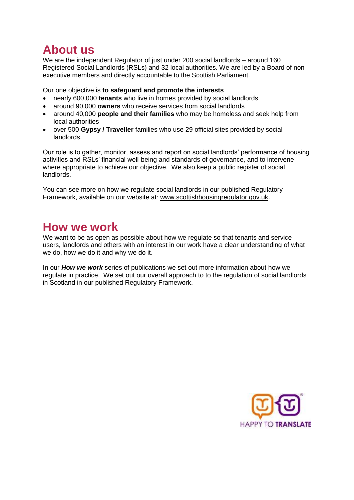# **About us**

We are the independent Regulator of just under 200 social landlords – around 160 Registered Social Landlords (RSLs) and 32 local authorities. We are led by a Board of nonexecutive members and directly accountable to the Scottish Parliament.

Our one objective is **to safeguard and promote the interests** 

- nearly 600,000 **tenants** who live in homes provided by social landlords
- around 90,000 **owners** who receive services from social landlords
- around 40,000 **people and their families** who may be homeless and seek help from local authorities
- over 500 **Gypsy / Traveller** families who use 29 official sites provided by social landlords.

Our role is to gather, monitor, assess and report on social landlords' performance of housing activities and RSLs' financial well-being and standards of governance, and to intervene where appropriate to achieve our objective. We also keep a public register of social landlords.

You can see more on how we regulate social landlords in our published Regulatory Framework, available on our website at: [www.scottishhousingregulator.gov.uk.](http://www.scottishhousingregulator.gov.uk/)

# **How we work**

We want to be as open as possible about how we regulate so that tenants and service users, landlords and others with an interest in our work have a clear understanding of what we do, how we do it and why we do it.

In our *How we work* series of publications we set out more information about how we regulate in practice. We set out our overall approach to to the regulation of social landlords in Scotland in our published [Regulatory Framework.](https://www.scottishhousingregulator.gov.uk/sites/default/files/publications/Our%20Regulatory%20Framework.pdf)

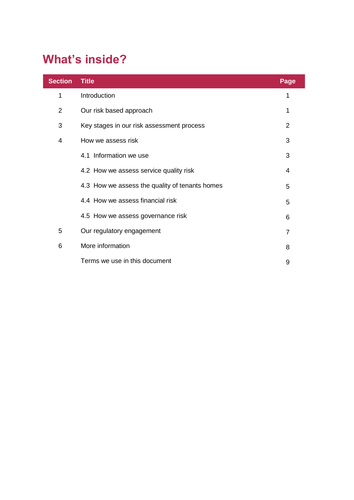# **What's inside?**

| <b>Section</b> | <b>Title</b>                                   | Page           |
|----------------|------------------------------------------------|----------------|
| 1              | Introduction                                   | 1              |
| $\overline{2}$ | Our risk based approach                        | 1              |
| 3              | Key stages in our risk assessment process      | $\overline{2}$ |
| 4              | How we assess risk                             | 3              |
|                | 4.1 Information we use                         | 3              |
|                | 4.2 How we assess service quality risk         | 4              |
|                | 4.3 How we assess the quality of tenants homes | 5              |
|                | 4.4 How we assess financial risk               | 5              |
|                | 4.5 How we assess governance risk              | 6              |
| 5              | Our regulatory engagement                      | $\overline{7}$ |
| 6              | More information                               | 8              |
|                | Terms we use in this document                  | 9              |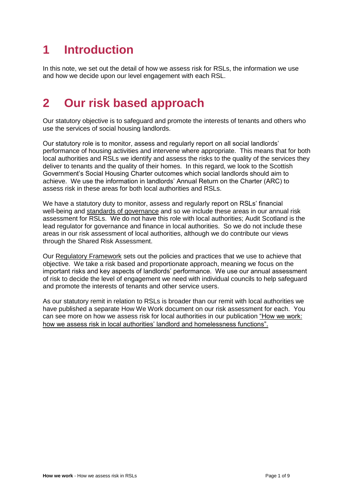# **1 Introduction**

In this note, we set out the detail of how we assess risk for RSLs, the information we use and how we decide upon our level engagement with each RSL.

# **2 Our risk based approach**

Our statutory objective is to safeguard and promote the interests of tenants and others who use the services of social housing landlords.

Our statutory role is to monitor, assess and regularly report on all social landlords' performance of housing activities and intervene where appropriate. This means that for both local authorities and RSLs we identify and assess the risks to the quality of the services they deliver to tenants and the quality of their homes. In this regard, we look to the Scottish Government's Social Housing Charter outcomes which social landlords should aim to achieve. We use the information in landlords' Annual Return on the Charter (ARC) to assess risk in these areas for both local authorities and RSLs.

We have a statutory duty to monitor, assess and regularly report on RSLs' financial well-being and [standards of governance](https://www.scottishhousingregulator.gov.uk/sites/default/files/publications/SHR%20RF%20Chapter%205_web.pdf) and so we include these areas in our annual risk assessment for RSLs. We do not have this role with local authorities; Audit Scotland is the lead regulator for governance and finance in local authorities. So we do not include these areas in our risk assessment of local authorities, although we do contribute our views through the Shared Risk Assessment.

Our [Regulatory Framework](https://www.scottishhousingregulator.gov.uk/sites/default/files/publications/Our%20Regulatory%20Framework.pdf) sets out the policies and practices that we use to achieve that objective. We take a risk based and proportionate approach, meaning we focus on the important risks and key aspects of landlords' performance. We use our annual assessment of risk to decide the level of engagement we need with individual councils to help safeguard and promote the interests of tenants and other service users.

As our statutory remit in relation to RSLs is broader than our remit with local authorities we have published a separate How We Work document on our risk assessment for each. You can see more on how we assess risk for local authorities in our publication ["How we work:](https://www.scottishhousingregulator.gov.uk/publications/how-we-work-how-we-assess-risk-local-authorities-landlord-and-homelessness-services)  [how we assess risk in local authorities' landlord and homelessness functions"](https://www.scottishhousingregulator.gov.uk/publications/how-we-work-how-we-assess-risk-local-authorities-landlord-and-homelessness-services).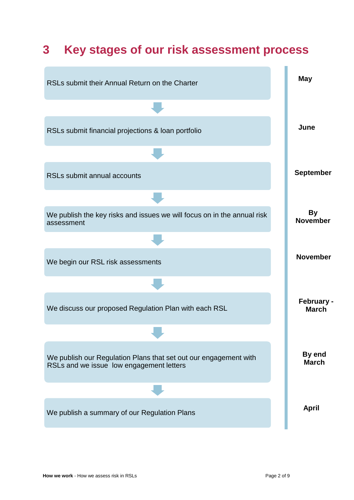

# **3 Key stages of our risk assessment process**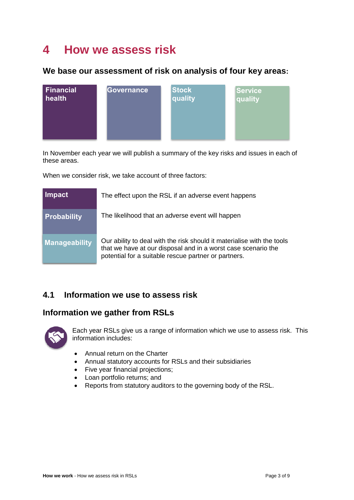# **4 How we assess risk**

## **We base our assessment of risk on analysis of four key areas:**



In November each year we will publish a summary of the key risks and issues in each of these areas.

When we consider risk, we take account of three factors:

| Impact               | The effect upon the RSL if an adverse event happens                                                                                                                                             |
|----------------------|-------------------------------------------------------------------------------------------------------------------------------------------------------------------------------------------------|
| <b>Probability</b>   | The likelihood that an adverse event will happen                                                                                                                                                |
| <b>Manageability</b> | Our ability to deal with the risk should it materialise with the tools<br>that we have at our disposal and in a worst case scenario the<br>potential for a suitable rescue partner or partners. |

# **4.1 Information we use to assess risk**

# **Information we gather from RSLs**



Each year RSLs give us a range of information which we use to assess risk. This information includes:

- Annual return on the Charter
- Annual statutory accounts for RSLs and their subsidiaries
- Five year financial projections;
- Loan portfolio returns; and
- Reports from statutory auditors to the governing body of the RSL.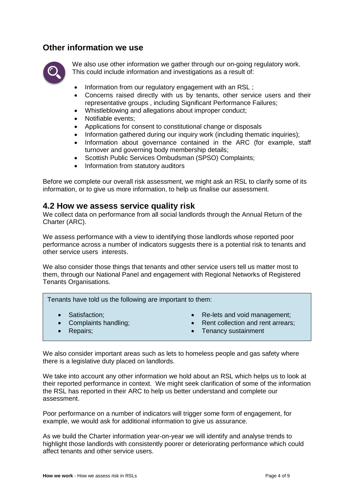### **Other information we use**



We also use other information we gather through our on-going regulatory work. This could include information and investigations as a result of:

- Information from our regulatory engagement with an RSL ;
- Concerns raised directly with us by tenants, other service users and their representative groups , including Significant Performance Failures;
- Whistleblowing and allegations about improper conduct;
- Notifiable events;
- Applications for consent to constitutional change or disposals
- Information gathered during our inquiry work (including thematic inquiries);
- Information about governance contained in the ARC (for example, staff turnover and governing body membership details;
- Scottish Public Services Ombudsman (SPSO) Complaints;
- Information from statutory auditors

Before we complete our overall risk assessment, we might ask an RSL to clarify some of its information, or to give us more information, to help us finalise our assessment.

### **4.2 How we assess service quality risk**

We collect data on performance from all social landlords through the Annual Return of the Charter (ARC).

We assess performance with a view to identifying those landlords whose reported poor performance across a number of indicators suggests there is a potential risk to tenants and other service users interests.

We also consider those things that tenants and other service users tell us matter most to them, through our National Panel and engagement with Regional Networks of Registered Tenants Organisations.

Tenants have told us the following are important to them:

- 
- 
- Satisfaction;  $\bullet$  Re-lets and void management;
- Complaints handling;  $\bullet$  Rent collection and rent arrears;
- 
- Repairs; **Tenancy sustainment** Tenancy sustainment

We also consider important areas such as lets to homeless people and gas safety where there is a legislative duty placed on landlords.

We take into account any other information we hold about an RSL which helps us to look at their reported performance in context. We might seek clarification of some of the information the RSL has reported in their ARC to help us better understand and complete our assessment.

Poor performance on a number of indicators will trigger some form of engagement, for example, we would ask for additional information to give us assurance.

As we build the Charter information year-on-year we will identify and analyse trends to highlight those landlords with consistently poorer or deteriorating performance which could affect tenants and other service users.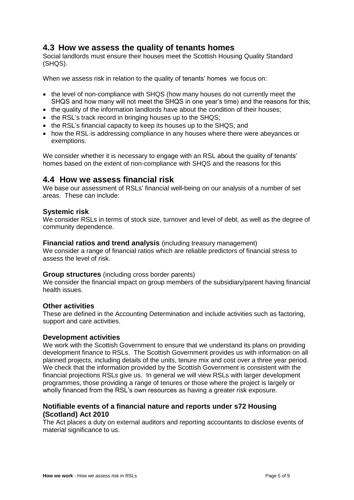### **4.3 How we assess the quality of tenants homes**

Social landlords must ensure their houses meet the Scottish Housing Quality Standard (SHQS).

When we assess risk in relation to the quality of tenants' homes we focus on:

- the level of non-compliance with SHQS (how many houses do not currently meet the SHQS and how many will not meet the SHQS in one year's time) and the reasons for this;
- the quality of the information landlords have about the condition of their houses;
- the RSL's track record in bringing houses up to the SHQS;
- the RSL's financial capacity to keep its houses up to the SHQS; and
- how the RSL is addressing compliance in any houses where there were abeyances or exemptions.

We consider whether it is necessary to engage with an RSL about the quality of tenants' homes based on the extent of non-compliance with SHQS and the reasons for this

### **4.4 How we assess financial risk**

We base our assessment of RSLs' financial well-being on our analysis of a number of set areas. These can include:

#### **Systemic risk**

We consider RSLs in terms of stock size, turnover and level of debt, as well as the degree of community dependence.

#### **Financial ratios and trend analysis** (including treasury management)

We consider a range of financial ratios which are reliable predictors of financial stress to assess the level of risk.

#### **Group structures** (including cross border parents)

We consider the financial impact on group members of the subsidiary/parent having financial health issues.

#### **Other activities**

These are defined in the Accounting Determination and include activities such as factoring, support and care activities.

#### **Development activities**

We work with the Scottish Government to ensure that we understand its plans on providing development finance to RSLs. The Scottish Government provides us with information on all planned projects, including details of the units, tenure mix and cost over a three year period. We check that the information provided by the Scottish Government is consistent with the financial projections RSLs give us. In general we will view RSLs with larger development programmes, those providing a range of tenures or those where the project is largely or wholly financed from the RSL's own resources as having a greater risk exposure.

#### **Notifiable events of a financial nature and reports under s72 Housing (Scotland) Act 2010**

The Act places a duty on external auditors and reporting accountants to disclose events of material significance to us.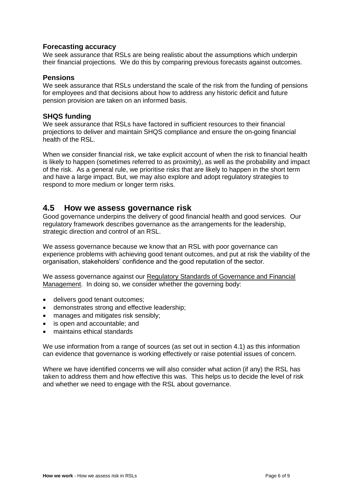#### **Forecasting accuracy**

We seek assurance that RSLs are being realistic about the assumptions which underpin their financial projections. We do this by comparing previous forecasts against outcomes.

#### **Pensions**

We seek assurance that RSLs understand the scale of the risk from the funding of pensions for employees and that decisions about how to address any historic deficit and future pension provision are taken on an informed basis.

#### **SHQS funding**

We seek assurance that RSLs have factored in sufficient resources to their financial projections to deliver and maintain SHQS compliance and ensure the on-going financial health of the RSL.

When we consider financial risk, we take explicit account of when the risk to financial health is likely to happen (sometimes referred to as proximity), as well as the probability and impact of the risk. As a general rule, we prioritise risks that are likely to happen in the short term and have a large impact. But, we may also explore and adopt regulatory strategies to respond to more medium or longer term risks.

### **4.5 How we assess governance risk**

Good governance underpins the delivery of good financial health and good services. Our regulatory framework describes governance as the arrangements for the leadership, strategic direction and control of an RSL.

We assess governance because we know that an RSL with poor governance can experience problems with achieving good tenant outcomes, and put at risk the viability of the organisation, stakeholders' confidence and the good reputation of the sector.

We assess governance against our [Regulatory Standards of Governance and Financial](https://www.scottishhousingregulator.gov.uk/sites/default/files/publications/SHR%20RF%20Chapter%205_web.pdf)  [Management.](https://www.scottishhousingregulator.gov.uk/sites/default/files/publications/SHR%20RF%20Chapter%205_web.pdf) In doing so, we consider whether the governing body:

- delivers good tenant outcomes;
- demonstrates strong and effective leadership;
- manages and mitigates risk sensibly;
- is open and accountable; and
- maintains ethical standards

We use information from a range of sources (as set out in section 4.1) as this information can evidence that governance is working effectively or raise potential issues of concern.

Where we have identified concerns we will also consider what action (if any) the RSL has taken to address them and how effective this was. This helps us to decide the level of risk and whether we need to engage with the RSL about governance.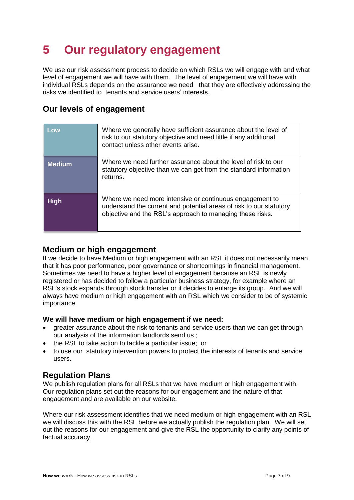# **5 Our regulatory engagement**

We use our risk assessment process to decide on which RSLs we will engage with and what level of engagement we will have with them. The level of engagement we will have with individual RSLs depends on the assurance we need that they are effectively addressing the risks we identified to tenants and service users' interests.

# **Our levels of engagement**

| Low           | Where we generally have sufficient assurance about the level of<br>risk to our statutory objective and need little if any additional<br>contact unless other events arise.                   |
|---------------|----------------------------------------------------------------------------------------------------------------------------------------------------------------------------------------------|
| <b>Medium</b> | Where we need further assurance about the level of risk to our<br>statutory objective than we can get from the standard information<br>returns.                                              |
| <b>High</b>   | Where we need more intensive or continuous engagement to<br>understand the current and potential areas of risk to our statutory<br>objective and the RSL's approach to managing these risks. |

# **Medium or high engagement**

If we decide to have Medium or high engagement with an RSL it does not necessarily mean that it has poor performance, poor governance or shortcomings in financial management. Sometimes we need to have a higher level of engagement because an RSL is newly registered or has decided to follow a particular business strategy, for example where an RSL's stock expands through stock transfer or it decides to enlarge its group. And we will always have medium or high engagement with an RSL which we consider to be of systemic importance.

### **We will have medium or high engagement if we need:**

- greater assurance about the risk to tenants and service users than we can get through our analysis of the information landlords send us ;
- the RSL to take action to tackle a particular issue; or
- to use our statutory intervention powers to protect the interests of tenants and service users.

### **Regulation Plans**

We publish regulation plans for all RSLs that we have medium or high engagement with. Our regulation plans set out the reasons for our engagement and the nature of that engagement and are available on our [website.](https://www.scottishhousingregulator.gov.uk/publications/list-regulation-plans-2015)

Where our risk assessment identifies that we need medium or high engagement with an RSL we will discuss this with the RSL before we actually publish the regulation plan. We will set out the reasons for our engagement and give the RSL the opportunity to clarify any points of factual accuracy.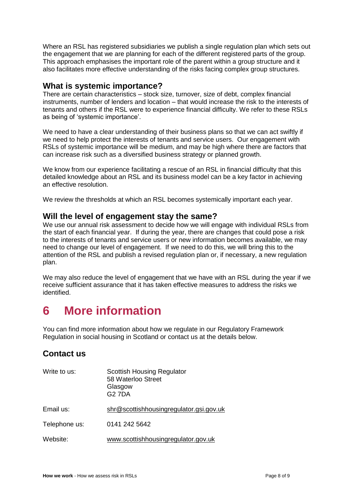Where an RSL has registered subsidiaries we publish a single regulation plan which sets out the engagement that we are planning for each of the different registered parts of the group. This approach emphasises the important role of the parent within a group structure and it also facilitates more effective understanding of the risks facing complex group structures.

## **What is systemic importance?**

There are certain characteristics – stock size, turnover, size of debt, complex financial instruments, number of lenders and location – that would increase the risk to the interests of tenants and others if the RSL were to experience financial difficulty. We refer to these RSLs as being of 'systemic importance'.

We need to have a clear understanding of their business plans so that we can act swiftly if we need to help protect the interests of tenants and service users. Our engagement with RSLs of systemic importance will be medium, and may be high where there are factors that can increase risk such as a diversified business strategy or planned growth.

We know from our experience facilitating a rescue of an RSL in financial difficulty that this detailed knowledge about an RSL and its business model can be a key factor in achieving an effective resolution.

We review the thresholds at which an RSL becomes systemically important each year.

### **Will the level of engagement stay the same?**

We use our annual risk assessment to decide how we will engage with individual RSLs from the start of each financial year. If during the year, there are changes that could pose a risk to the interests of tenants and service users or new information becomes available, we may need to change our level of engagement. If we need to do this, we will bring this to the attention of the RSL and publish a revised regulation plan or, if necessary, a new regulation plan.

We may also reduce the level of engagement that we have with an RSL during the year if we receive sufficient assurance that it has taken effective measures to address the risks we identified.

# **6 More information**

You can find more information about how we regulate in our Regulatory Framework Regulation in social housing in Scotland or contact us at the details below.

## **Contact us**

| Write to us:  | <b>Scottish Housing Regulator</b><br>58 Waterloo Street<br>Glasgow<br><b>G27DA</b> |
|---------------|------------------------------------------------------------------------------------|
| Email us:     | shr@scottishhousingregulator.gsi.gov.uk                                            |
| Telephone us: | 0141 242 5642                                                                      |
| Website:      | www.scottishhousingregulator.gov.uk                                                |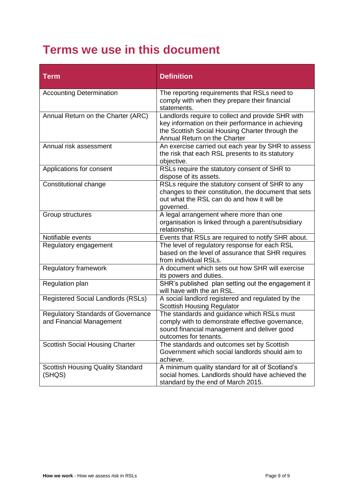# **Terms we use in this document**

| <b>Term</b>                                                           | <b>Definition</b>                                                                                                                                                                         |
|-----------------------------------------------------------------------|-------------------------------------------------------------------------------------------------------------------------------------------------------------------------------------------|
| <b>Accounting Determination</b>                                       | The reporting requirements that RSLs need to<br>comply with when they prepare their financial<br>statements.                                                                              |
| Annual Return on the Charter (ARC)                                    | Landlords require to collect and provide SHR with<br>key information on their performance in achieving<br>the Scottish Social Housing Charter through the<br>Annual Return on the Charter |
| Annual risk assessment                                                | An exercise carried out each year by SHR to assess<br>the risk that each RSL presents to its statutory<br>objective.                                                                      |
| Applications for consent                                              | RSLs require the statutory consent of SHR to<br>dispose of its assets.                                                                                                                    |
| Constitutional change                                                 | RSLs require the statutory consent of SHR to any<br>changes to their constitution, the document that sets<br>out what the RSL can do and how it will be<br>governed.                      |
| Group structures                                                      | A legal arrangement where more than one<br>organisation is linked through a parent/subsidiary<br>relationship.                                                                            |
| Notifiable events                                                     | Events that RSLs are required to notify SHR about.                                                                                                                                        |
| Regulatory engagement                                                 | The level of regulatory response for each RSL<br>based on the level of assurance that SHR requires<br>from individual RSLs.                                                               |
| Regulatory framework                                                  | A document which sets out how SHR will exercise<br>its powers and duties.                                                                                                                 |
| Regulation plan                                                       | SHR's published plan setting out the engagement it<br>will have with the an RSL.                                                                                                          |
| <b>Registered Social Landlords (RSLs)</b>                             | A social landlord registered and regulated by the<br><b>Scottish Housing Regulator</b>                                                                                                    |
| <b>Regulatory Standards of Governance</b><br>and Financial Management | The standards and guidance which RSLs must<br>comply with to demonstrate effective governance,<br>sound financial management and deliver good<br>outcomes for tenants.                    |
| <b>Scottish Social Housing Charter</b>                                | The standards and outcomes set by Scottish<br>Government which social landlords should aim to<br>achieve.                                                                                 |
| <b>Scottish Housing Quality Standard</b><br>(SHQS)                    | A minimum quality standard for all of Scotland's<br>social homes. Landlords should have achieved the<br>standard by the end of March 2015.                                                |